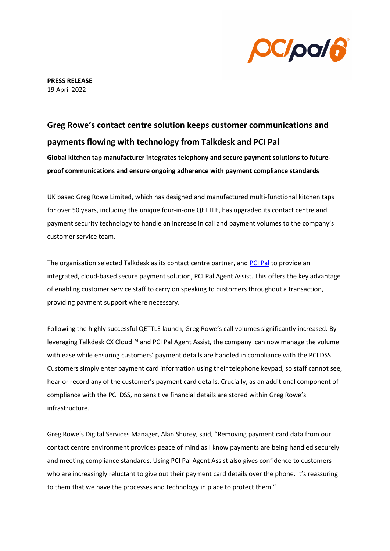

**PRESS RELEASE** 19 April 2022

## **Greg Rowe's contact centre solution keeps customer communications and payments flowing with technology from Talkdesk and PCI Pal**

**Global kitchen tap manufacturer integrates telephony and secure payment solutions to futureproof communications and ensure ongoing adherence with payment compliance standards** 

UK based Greg Rowe Limited, which has designed and manufactured multi-functional kitchen taps for over 50 years, including the unique four-in-one QETTLE, has upgraded its contact centre and payment security technology to handle an increase in call and payment volumes to the company's customer service team.

The organisation selected Talkdesk as its contact centre partner, and [PCI Pal](http://www.pcipal.com/) to provide an integrated, cloud-based secure payment solution, PCI Pal Agent Assist. This offers the key advantage of enabling customer service staff to carry on speaking to customers throughout a transaction, providing payment support where necessary.

Following the highly successful QETTLE launch, Greg Rowe's call volumes significantly increased. By leveraging Talkdesk CX Cloud™ and PCI Pal Agent Assist, the company can now manage the volume with ease while ensuring customers' payment details are handled in compliance with the PCI DSS. Customers simply enter payment card information using their telephone keypad, so staff cannot see, hear or record any of the customer's payment card details. Crucially, as an additional component of compliance with the PCI DSS, no sensitive financial details are stored within Greg Rowe's infrastructure.

Greg Rowe's Digital Services Manager, Alan Shurey, said, "Removing payment card data from our contact centre environment provides peace of mind as I know payments are being handled securely and meeting compliance standards. Using PCI Pal Agent Assist also gives confidence to customers who are increasingly reluctant to give out their payment card details over the phone. It's reassuring to them that we have the processes and technology in place to protect them."